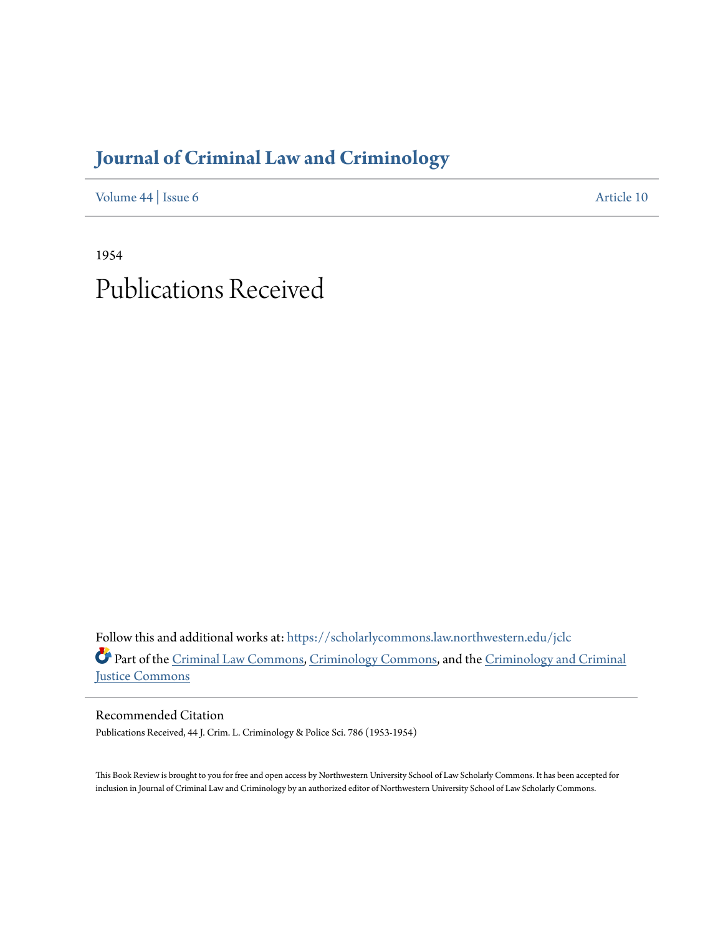## **[Journal of Criminal Law and Criminology](https://scholarlycommons.law.northwestern.edu/jclc?utm_source=scholarlycommons.law.northwestern.edu%2Fjclc%2Fvol44%2Fiss6%2F10&utm_medium=PDF&utm_campaign=PDFCoverPages)**

[Volume 44](https://scholarlycommons.law.northwestern.edu/jclc/vol44?utm_source=scholarlycommons.law.northwestern.edu%2Fjclc%2Fvol44%2Fiss6%2F10&utm_medium=PDF&utm_campaign=PDFCoverPages) | [Issue 6](https://scholarlycommons.law.northwestern.edu/jclc/vol44/iss6?utm_source=scholarlycommons.law.northwestern.edu%2Fjclc%2Fvol44%2Fiss6%2F10&utm_medium=PDF&utm_campaign=PDFCoverPages) [Article 10](https://scholarlycommons.law.northwestern.edu/jclc/vol44/iss6/10?utm_source=scholarlycommons.law.northwestern.edu%2Fjclc%2Fvol44%2Fiss6%2F10&utm_medium=PDF&utm_campaign=PDFCoverPages)

1954 Publications Received

Follow this and additional works at: [https://scholarlycommons.law.northwestern.edu/jclc](https://scholarlycommons.law.northwestern.edu/jclc?utm_source=scholarlycommons.law.northwestern.edu%2Fjclc%2Fvol44%2Fiss6%2F10&utm_medium=PDF&utm_campaign=PDFCoverPages) Part of the [Criminal Law Commons](http://network.bepress.com/hgg/discipline/912?utm_source=scholarlycommons.law.northwestern.edu%2Fjclc%2Fvol44%2Fiss6%2F10&utm_medium=PDF&utm_campaign=PDFCoverPages), [Criminology Commons](http://network.bepress.com/hgg/discipline/417?utm_source=scholarlycommons.law.northwestern.edu%2Fjclc%2Fvol44%2Fiss6%2F10&utm_medium=PDF&utm_campaign=PDFCoverPages), and the [Criminology and Criminal](http://network.bepress.com/hgg/discipline/367?utm_source=scholarlycommons.law.northwestern.edu%2Fjclc%2Fvol44%2Fiss6%2F10&utm_medium=PDF&utm_campaign=PDFCoverPages) [Justice Commons](http://network.bepress.com/hgg/discipline/367?utm_source=scholarlycommons.law.northwestern.edu%2Fjclc%2Fvol44%2Fiss6%2F10&utm_medium=PDF&utm_campaign=PDFCoverPages)

Recommended Citation Publications Received, 44 J. Crim. L. Criminology & Police Sci. 786 (1953-1954)

This Book Review is brought to you for free and open access by Northwestern University School of Law Scholarly Commons. It has been accepted for inclusion in Journal of Criminal Law and Criminology by an authorized editor of Northwestern University School of Law Scholarly Commons.